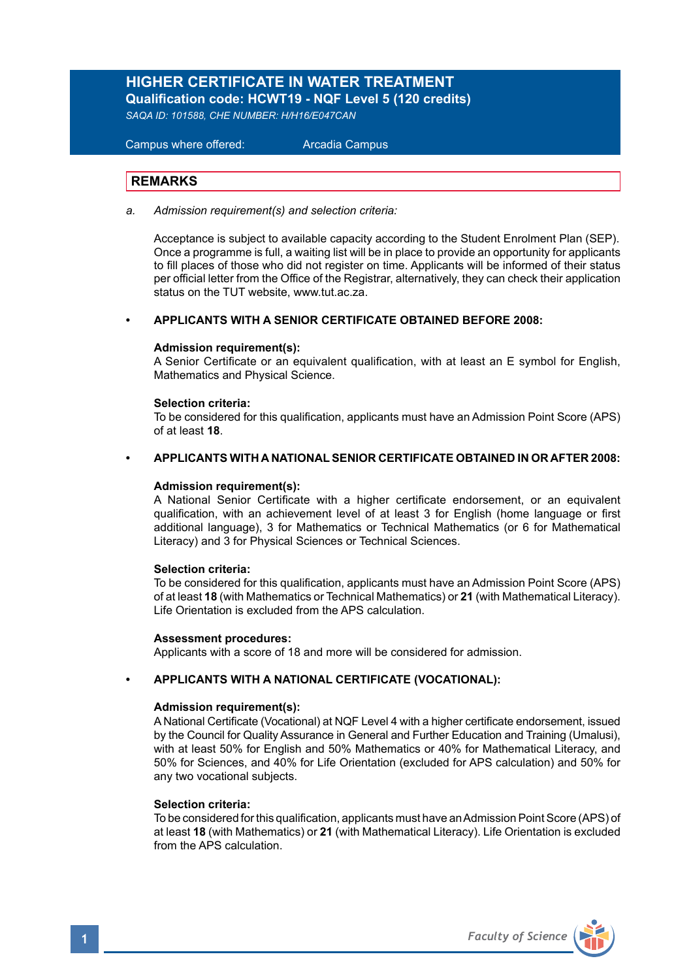# **HIGHER CERTIFICATE IN WATER TREATMENT Qualification code: HCWT19 - NQF Level 5 (120 credits)**

*SAQA ID: 101588, CHE NUMBER: H/H16/E047CAN*

 Campus where offered: Arcadia Campus

## **REMARKS**

*a. Admission requirement(s) and selection criteria:* 

 Acceptance is subject to available capacity according to the Student Enrolment Plan (SEP). Once a programme is full, a waiting list will be in place to provide an opportunity for applicants to fill places of those who did not register on time. Applicants will be informed of their status per official letter from the Office of the Registrar, alternatively, they can check their application status on the TUT website, www.tut.ac.za.

#### **• APPLICANTS WITH A SENIOR CERTIFICATE OBTAINED BEFORE 2008:**

#### **Admission requirement(s):**

A Senior Certificate or an equivalent qualification, with at least an E symbol for English, Mathematics and Physical Science.

#### **Selection criteria:**

To be considered for this qualification, applicants must have an Admission Point Score (APS) of at least **18**.

#### **• APPLICANTS WITH A NATIONAL SENIOR CERTIFICATE OBTAINED IN OR AFTER 2008:**

#### **Admission requirement(s):**

A National Senior Certificate with a higher certificate endorsement, or an equivalent qualification, with an achievement level of at least 3 for English (home language or first additional language), 3 for Mathematics or Technical Mathematics (or 6 for Mathematical Literacy) and 3 for Physical Sciences or Technical Sciences.

#### **Selection criteria:**

To be considered for this qualification, applicants must have an Admission Point Score (APS) of at least **18** (with Mathematics or Technical Mathematics) or **21** (with Mathematical Literacy). Life Orientation is excluded from the APS calculation.

#### **Assessment procedures:**

Applicants with a score of 18 and more will be considered for admission.

## **• APPLICANTS WITH A NATIONAL CERTIFICATE (VOCATIONAL):**

#### **Admission requirement(s):**

A National Certificate (Vocational) at NQF Level 4 with a higher certificate endorsement, issued by the Council for Quality Assurance in General and Further Education and Training (Umalusi), with at least 50% for English and 50% Mathematics or 40% for Mathematical Literacy, and 50% for Sciences, and 40% for Life Orientation (excluded for APS calculation) and 50% for any two vocational subjects.

## **Selection criteria:**

To be considered for this qualification, applicants must have an Admission Point Score (APS) of at least **18** (with Mathematics) or **21** (with Mathematical Literacy). Life Orientation is excluded from the APS calculation

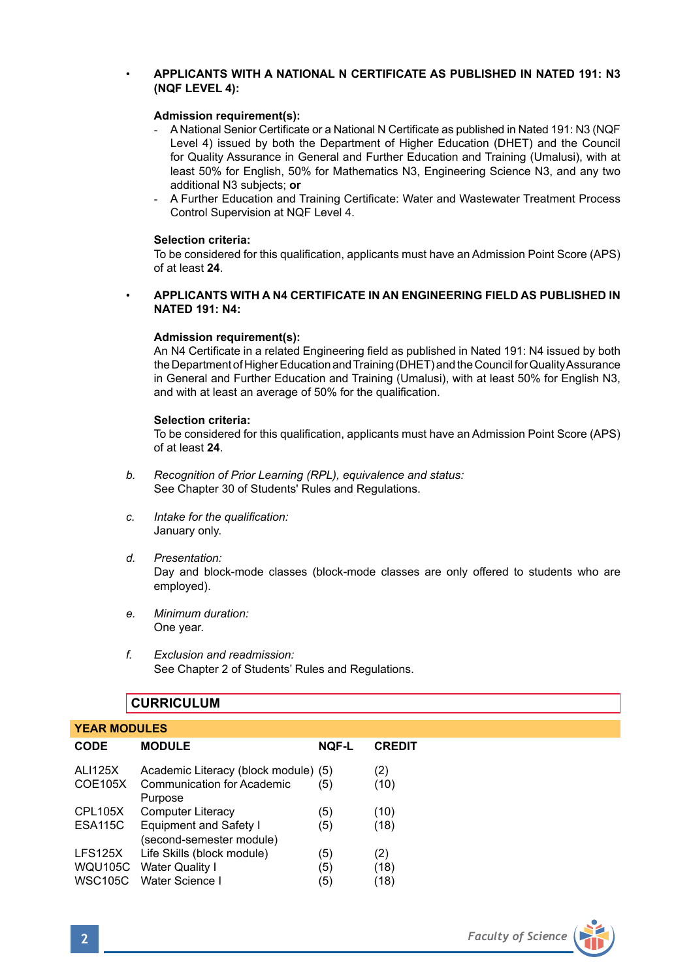## • **APPLICANTS WITH A NATIONAL N CERTIFICATE AS PUBLISHED IN NATED 191: N3 (NQF LEVEL 4):**

## **Admission requirement(s):**

- A National Senior Certificate or a National N Certificate as published in Nated 191: N3 (NQF Level 4) issued by both the Department of Higher Education (DHET) and the Council for Quality Assurance in General and Further Education and Training (Umalusi), with at least 50% for English, 50% for Mathematics N3, Engineering Science N3, and any two additional N3 subjects; **or**
- A Further Education and Training Certificate: Water and Wastewater Treatment Process Control Supervision at NQF Level 4.

## **Selection criteria:**

To be considered for this qualification, applicants must have an Admission Point Score (APS) of at least **24**.

• **APPLICANTS WITH A N4 CERTIFICATE IN AN ENGINEERING FIELD AS PUBLISHED IN NATED 191: N4:**

#### **Admission requirement(s):**

An N4 Certificate in a related Engineering field as published in Nated 191: N4 issued by both the Department of Higher Education and Training (DHET) and the Council for Quality Assurance in General and Further Education and Training (Umalusi), with at least 50% for English N3, and with at least an average of 50% for the qualification.

#### **Selection criteria:**

To be considered for this qualification, applicants must have an Admission Point Score (APS) of at least **24**.

- *b. Recognition of Prior Learning (RPL), equivalence and status:* See Chapter 30 of Students' Rules and Regulations.
- *c. Intake for the qualification:* January only.
- *d. Presentation:* Day and block-mode classes (block-mode classes are only offered to students who are employed).
- *e. Minimum duration:* One year.
- *f. Exclusion and readmission:* See Chapter 2 of Students' Rules and Regulations.

## **CURRICULUM**

| <b>YEAR MODULES</b>                         |                                                                                       |                   |                     |  |  |
|---------------------------------------------|---------------------------------------------------------------------------------------|-------------------|---------------------|--|--|
| <b>CODE</b>                                 | <b>MODULE</b>                                                                         | NQF-L             | <b>CREDIT</b>       |  |  |
| <b>ALI125X</b><br><b>COE105X</b>            | Academic Literacy (block module) (5)<br><b>Communication for Academic</b><br>Purpose  | (5)               | (2)<br>(10)         |  |  |
| <b>CPL105X</b><br><b>ESA115C</b>            | <b>Computer Literacy</b><br><b>Equipment and Safety I</b><br>(second-semester module) | (5)<br>(5)        | (10)<br>(18)        |  |  |
| LFS125X<br><b>WQU105C</b><br><b>WSC105C</b> | Life Skills (block module)<br><b>Water Quality I</b><br>Water Science I               | (5)<br>(5)<br>(5) | (2)<br>(18)<br>(18) |  |  |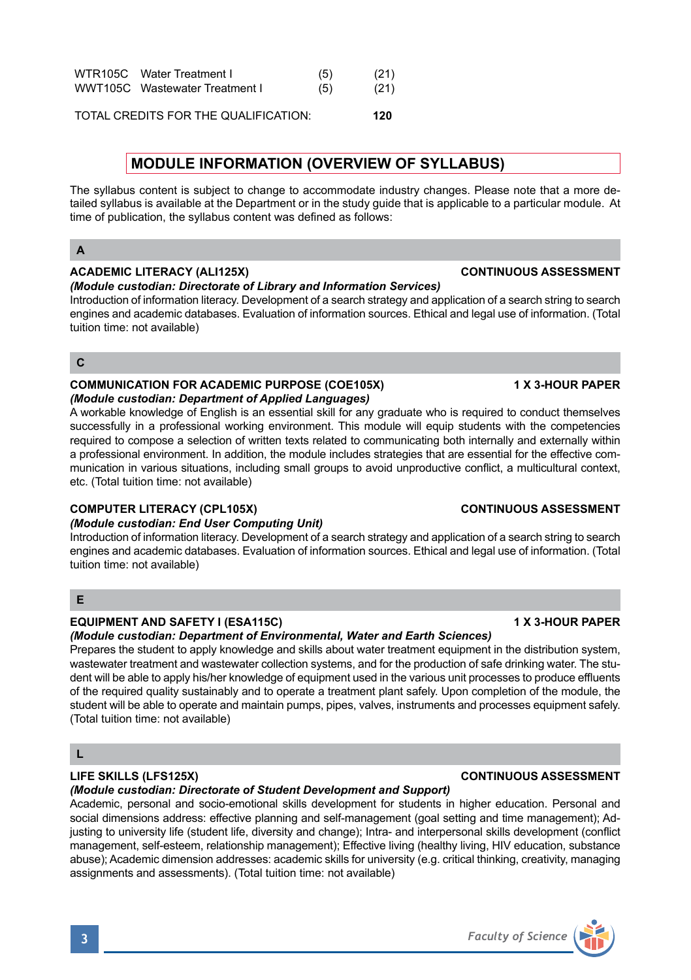| WTR105C Water Treatment I      | (5) | (21) |
|--------------------------------|-----|------|
| WWT105C Wastewater Treatment I | (5) | (21) |
|                                |     |      |

TOTAL CREDITS FOR THE QUALIFICATION: **120**

# **MODULE INFORMATION (OVERVIEW OF SYLLABUS)**

The syllabus content is subject to change to accommodate industry changes. Please note that a more detailed syllabus is available at the Department or in the study guide that is applicable to a particular module. At time of publication, the syllabus content was defined as follows:

# **A**

## **ACADEMIC LITERACY (ALI125X) CONTINUOUS ASSESSMENT**

## *(Module custodian: Directorate of Library and Information Services)*

Introduction of information literacy. Development of a search strategy and application of a search string to search engines and academic databases. Evaluation of information sources. Ethical and legal use of information. (Total tuition time: not available)

## **C**

## **COMMUNICATION FOR ACADEMIC PURPOSE (COE105X) 1 X 3-HOUR PAPER** *(Module custodian: Department of Applied Languages)*

A workable knowledge of English is an essential skill for any graduate who is required to conduct themselves successfully in a professional working environment. This module will equip students with the competencies required to compose a selection of written texts related to communicating both internally and externally within a professional environment. In addition, the module includes strategies that are essential for the effective communication in various situations, including small groups to avoid unproductive conflict, a multicultural context, etc. (Total tuition time: not available)

## **COMPUTER LITERACY (CPL105X) CONTINUOUS ASSESSMENT**

## *(Module custodian: End User Computing Unit)*

Introduction of information literacy. Development of a search strategy and application of a search string to search engines and academic databases. Evaluation of information sources. Ethical and legal use of information. (Total tuition time: not available)

# **E**

## **EQUIPMENT AND SAFETY I (ESA115C) 1 X 3-HOUR PAPER**

## *(Module custodian: Department of Environmental, Water and Earth Sciences)*

Prepares the student to apply knowledge and skills about water treatment equipment in the distribution system, wastewater treatment and wastewater collection systems, and for the production of safe drinking water. The student will be able to apply his/her knowledge of equipment used in the various unit processes to produce effluents of the required quality sustainably and to operate a treatment plant safely. Upon completion of the module, the student will be able to operate and maintain pumps, pipes, valves, instruments and processes equipment safely. (Total tuition time: not available)

# **L**

## **LIFE SKILLS (LFS125X) CONTINUOUS ASSESSMENT**

## *(Module custodian: Directorate of Student Development and Support)*

Academic, personal and socio-emotional skills development for students in higher education. Personal and social dimensions address: effective planning and self-management (goal setting and time management); Adjusting to university life (student life, diversity and change); Intra- and interpersonal skills development (conflict management, self-esteem, relationship management); Effective living (healthy living, HIV education, substance abuse); Academic dimension addresses: academic skills for university (e.g. critical thinking, creativity, managing assignments and assessments). (Total tuition time: not available)